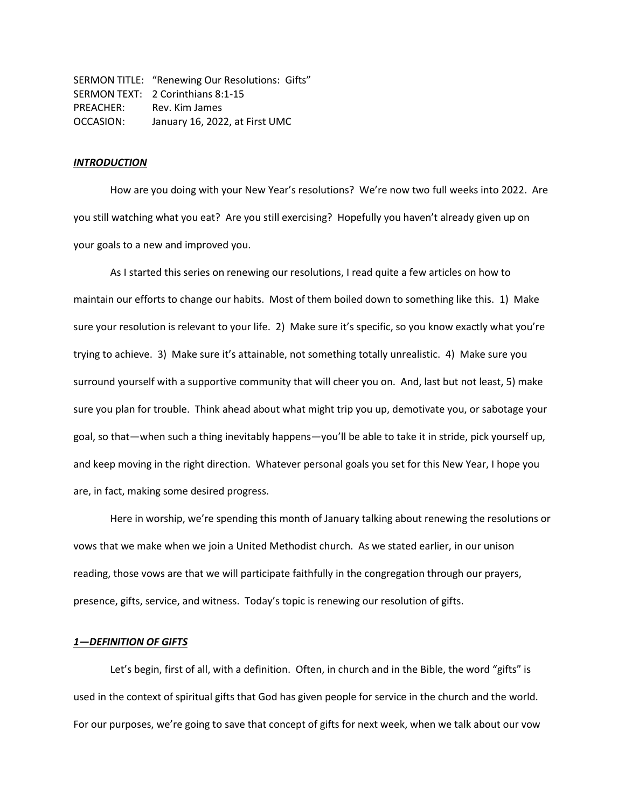SERMON TITLE: "Renewing Our Resolutions: Gifts" SERMON TEXT: 2 Corinthians 8:1-15 PREACHER: Rev. Kim James OCCASION: January 16, 2022, at First UMC

## *INTRODUCTION*

How are you doing with your New Year's resolutions? We're now two full weeks into 2022. Are you still watching what you eat? Are you still exercising? Hopefully you haven't already given up on your goals to a new and improved you.

As I started this series on renewing our resolutions, I read quite a few articles on how to maintain our efforts to change our habits. Most of them boiled down to something like this. 1) Make sure your resolution is relevant to your life. 2) Make sure it's specific, so you know exactly what you're trying to achieve. 3) Make sure it's attainable, not something totally unrealistic. 4) Make sure you surround yourself with a supportive community that will cheer you on. And, last but not least, 5) make sure you plan for trouble. Think ahead about what might trip you up, demotivate you, or sabotage your goal, so that—when such a thing inevitably happens—you'll be able to take it in stride, pick yourself up, and keep moving in the right direction. Whatever personal goals you set for this New Year, I hope you are, in fact, making some desired progress.

Here in worship, we're spending this month of January talking about renewing the resolutions or vows that we make when we join a United Methodist church. As we stated earlier, in our unison reading, those vows are that we will participate faithfully in the congregation through our prayers, presence, gifts, service, and witness. Today's topic is renewing our resolution of gifts.

## *1—DEFINITION OF GIFTS*

Let's begin, first of all, with a definition. Often, in church and in the Bible, the word "gifts" is used in the context of spiritual gifts that God has given people for service in the church and the world. For our purposes, we're going to save that concept of gifts for next week, when we talk about our vow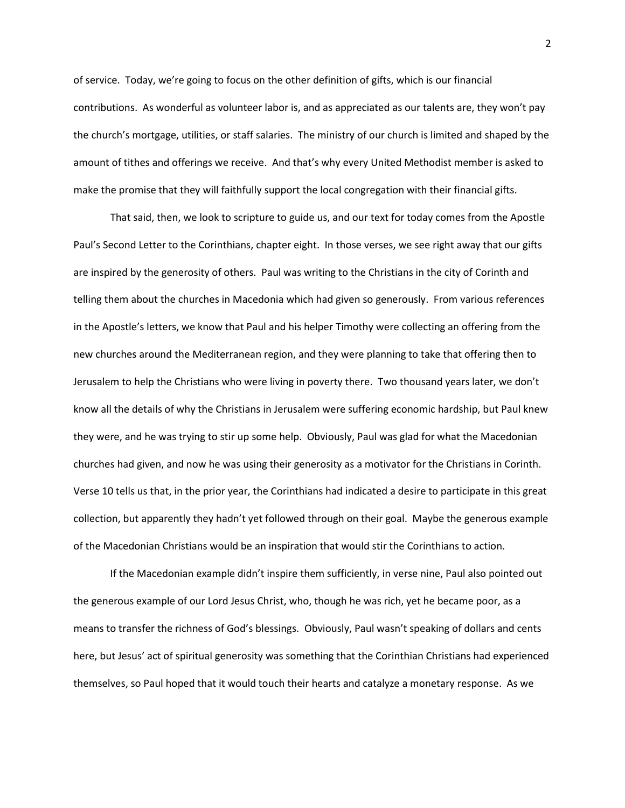of service. Today, we're going to focus on the other definition of gifts, which is our financial contributions. As wonderful as volunteer labor is, and as appreciated as our talents are, they won't pay the church's mortgage, utilities, or staff salaries. The ministry of our church is limited and shaped by the amount of tithes and offerings we receive. And that's why every United Methodist member is asked to make the promise that they will faithfully support the local congregation with their financial gifts.

That said, then, we look to scripture to guide us, and our text for today comes from the Apostle Paul's Second Letter to the Corinthians, chapter eight. In those verses, we see right away that our gifts are inspired by the generosity of others. Paul was writing to the Christians in the city of Corinth and telling them about the churches in Macedonia which had given so generously. From various references in the Apostle's letters, we know that Paul and his helper Timothy were collecting an offering from the new churches around the Mediterranean region, and they were planning to take that offering then to Jerusalem to help the Christians who were living in poverty there. Two thousand years later, we don't know all the details of why the Christians in Jerusalem were suffering economic hardship, but Paul knew they were, and he was trying to stir up some help. Obviously, Paul was glad for what the Macedonian churches had given, and now he was using their generosity as a motivator for the Christians in Corinth. Verse 10 tells us that, in the prior year, the Corinthians had indicated a desire to participate in this great collection, but apparently they hadn't yet followed through on their goal. Maybe the generous example of the Macedonian Christians would be an inspiration that would stir the Corinthians to action.

If the Macedonian example didn't inspire them sufficiently, in verse nine, Paul also pointed out the generous example of our Lord Jesus Christ, who, though he was rich, yet he became poor, as a means to transfer the richness of God's blessings. Obviously, Paul wasn't speaking of dollars and cents here, but Jesus' act of spiritual generosity was something that the Corinthian Christians had experienced themselves, so Paul hoped that it would touch their hearts and catalyze a monetary response. As we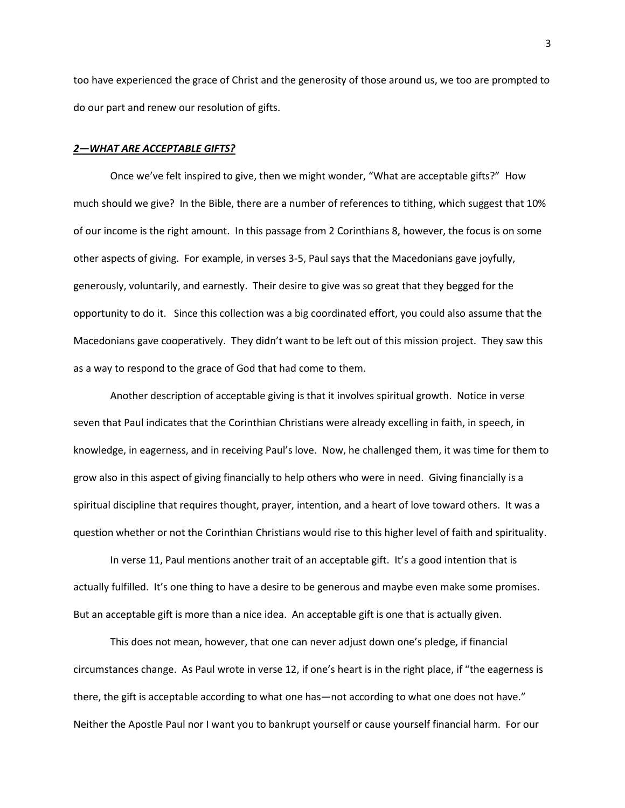too have experienced the grace of Christ and the generosity of those around us, we too are prompted to do our part and renew our resolution of gifts.

## *2—WHAT ARE ACCEPTABLE GIFTS?*

Once we've felt inspired to give, then we might wonder, "What are acceptable gifts?" How much should we give? In the Bible, there are a number of references to tithing, which suggest that 10% of our income is the right amount. In this passage from 2 Corinthians 8, however, the focus is on some other aspects of giving. For example, in verses 3-5, Paul says that the Macedonians gave joyfully, generously, voluntarily, and earnestly. Their desire to give was so great that they begged for the opportunity to do it. Since this collection was a big coordinated effort, you could also assume that the Macedonians gave cooperatively. They didn't want to be left out of this mission project. They saw this as a way to respond to the grace of God that had come to them.

Another description of acceptable giving is that it involves spiritual growth. Notice in verse seven that Paul indicates that the Corinthian Christians were already excelling in faith, in speech, in knowledge, in eagerness, and in receiving Paul's love. Now, he challenged them, it was time for them to grow also in this aspect of giving financially to help others who were in need. Giving financially is a spiritual discipline that requires thought, prayer, intention, and a heart of love toward others. It was a question whether or not the Corinthian Christians would rise to this higher level of faith and spirituality.

In verse 11, Paul mentions another trait of an acceptable gift. It's a good intention that is actually fulfilled. It's one thing to have a desire to be generous and maybe even make some promises. But an acceptable gift is more than a nice idea. An acceptable gift is one that is actually given.

This does not mean, however, that one can never adjust down one's pledge, if financial circumstances change. As Paul wrote in verse 12, if one's heart is in the right place, if "the eagerness is there, the gift is acceptable according to what one has—not according to what one does not have." Neither the Apostle Paul nor I want you to bankrupt yourself or cause yourself financial harm. For our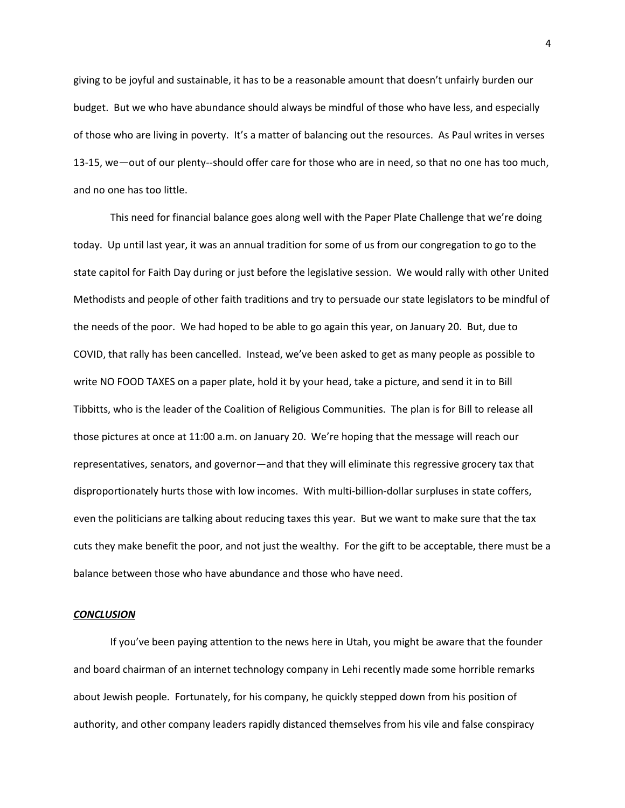giving to be joyful and sustainable, it has to be a reasonable amount that doesn't unfairly burden our budget. But we who have abundance should always be mindful of those who have less, and especially of those who are living in poverty. It's a matter of balancing out the resources. As Paul writes in verses 13-15, we—out of our plenty--should offer care for those who are in need, so that no one has too much, and no one has too little.

This need for financial balance goes along well with the Paper Plate Challenge that we're doing today. Up until last year, it was an annual tradition for some of us from our congregation to go to the state capitol for Faith Day during or just before the legislative session. We would rally with other United Methodists and people of other faith traditions and try to persuade our state legislators to be mindful of the needs of the poor. We had hoped to be able to go again this year, on January 20. But, due to COVID, that rally has been cancelled. Instead, we've been asked to get as many people as possible to write NO FOOD TAXES on a paper plate, hold it by your head, take a picture, and send it in to Bill Tibbitts, who is the leader of the Coalition of Religious Communities. The plan is for Bill to release all those pictures at once at 11:00 a.m. on January 20. We're hoping that the message will reach our representatives, senators, and governor—and that they will eliminate this regressive grocery tax that disproportionately hurts those with low incomes. With multi-billion-dollar surpluses in state coffers, even the politicians are talking about reducing taxes this year. But we want to make sure that the tax cuts they make benefit the poor, and not just the wealthy. For the gift to be acceptable, there must be a balance between those who have abundance and those who have need.

## *CONCLUSION*

If you've been paying attention to the news here in Utah, you might be aware that the founder and board chairman of an internet technology company in Lehi recently made some horrible remarks about Jewish people. Fortunately, for his company, he quickly stepped down from his position of authority, and other company leaders rapidly distanced themselves from his vile and false conspiracy